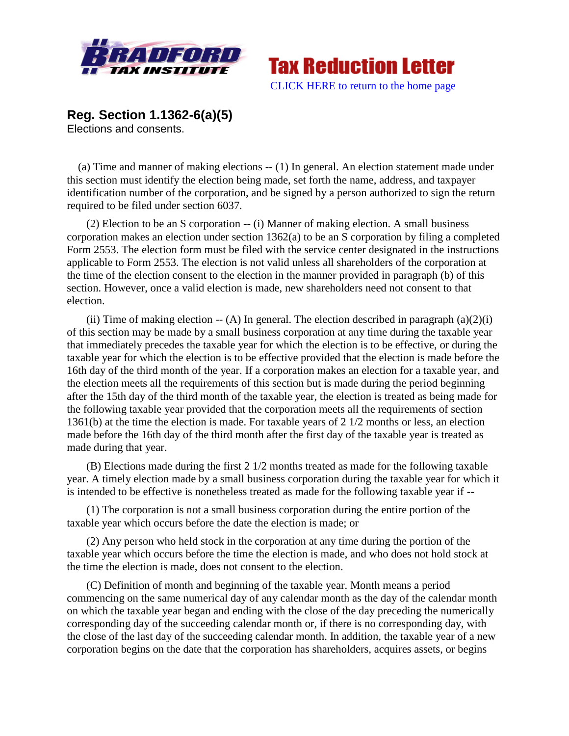



**Reg. Section 1.1362-6(a)(5)** Elections and consents.

 (a) Time and manner of making elections -- (1) In general. An election statement made under this section must identify the election being made, set forth the name, address, and taxpayer identification number of the corporation, and be signed by a person authorized to sign the return required to be filed under section 6037*.*

(2) Election to be an S corporation -- (i) Manner of making election. A small business corporation makes an election under section 1362(a) to be an S corporation by filing a completed Form 2553. The election form must be filed with the service center designated in the instructions applicable to Form 2553. The election is not valid unless all shareholders of the corporation at the time of the election consent to the election in the manner provided in paragraph (b) of this section. However, once a valid election is made, new shareholders need not consent to that election.

(ii) Time of making election  $-$  (A) In general. The election described in paragraph (a)(2)(i) of this section may be made by a small business corporation at any time during the taxable year that immediately precedes the taxable year for which the election is to be effective, or during the taxable year for which the election is to be effective provided that the election is made before the 16th day of the third month of the year. If a corporation makes an election for a taxable year, and the election meets all the requirements of this section but is made during the period beginning after the 15th day of the third month of the taxable year, the election is treated as being made for the following taxable year provided that the corporation meets all the requirements of section 1361(b) at the time the election is made. For taxable years of 2 1/2 months or less, an election made before the 16th day of the third month after the first day of the taxable year is treated as made during that year.

(B) Elections made during the first 2 1/2 months treated as made for the following taxable year. A timely election made by a small business corporation during the taxable year for which it is intended to be effective is nonetheless treated as made for the following taxable year if --

(1) The corporation is not a small business corporation during the entire portion of the taxable year which occurs before the date the election is made; or

(2) Any person who held stock in the corporation at any time during the portion of the taxable year which occurs before the time the election is made, and who does not hold stock at the time the election is made, does not consent to the election.

(C) Definition of month and beginning of the taxable year. Month means a period commencing on the same numerical day of any calendar month as the day of the calendar month on which the taxable year began and ending with the close of the day preceding the numerically corresponding day of the succeeding calendar month or, if there is no corresponding day, with the close of the last day of the succeeding calendar month. In addition, the taxable year of a new corporation begins on the date that the corporation has shareholders, acquires assets, or begins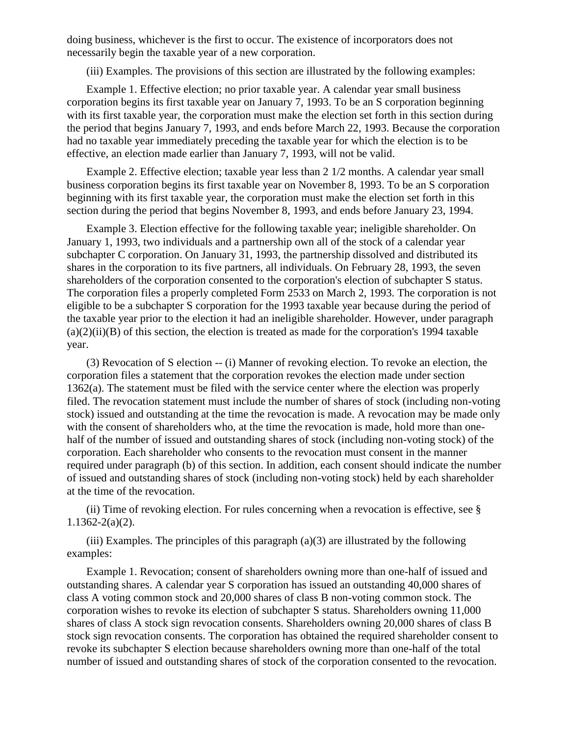doing business, whichever is the first to occur. The existence of incorporators does not necessarily begin the taxable year of a new corporation.

(iii) Examples. The provisions of this section are illustrated by the following examples:

Example 1. Effective election; no prior taxable year. A calendar year small business corporation begins its first taxable year on January 7, 1993. To be an S corporation beginning with its first taxable year, the corporation must make the election set forth in this section during the period that begins January 7, 1993, and ends before March 22, 1993. Because the corporation had no taxable year immediately preceding the taxable year for which the election is to be effective, an election made earlier than January 7, 1993, will not be valid.

Example 2. Effective election; taxable year less than 2 1/2 months. A calendar year small business corporation begins its first taxable year on November 8, 1993. To be an S corporation beginning with its first taxable year, the corporation must make the election set forth in this section during the period that begins November 8, 1993, and ends before January 23, 1994.

Example 3. Election effective for the following taxable year; ineligible shareholder. On January 1, 1993, two individuals and a partnership own all of the stock of a calendar year subchapter C corporation. On January 31, 1993, the partnership dissolved and distributed its shares in the corporation to its five partners, all individuals. On February 28, 1993, the seven shareholders of the corporation consented to the corporation's election of subchapter S status. The corporation files a properly completed Form 2533 on March 2, 1993. The corporation is not eligible to be a subchapter S corporation for the 1993 taxable year because during the period of the taxable year prior to the election it had an ineligible shareholder. However, under paragraph  $(a)(2)(ii)(B)$  of this section, the election is treated as made for the corporation's 1994 taxable year.

(3) Revocation of S election -- (i) Manner of revoking election. To revoke an election, the corporation files a statement that the corporation revokes the election made under section 1362(a). The statement must be filed with the service center where the election was properly filed. The revocation statement must include the number of shares of stock (including non-voting stock) issued and outstanding at the time the revocation is made. A revocation may be made only with the consent of shareholders who, at the time the revocation is made, hold more than onehalf of the number of issued and outstanding shares of stock (including non-voting stock) of the corporation. Each shareholder who consents to the revocation must consent in the manner required under paragraph (b) of this section. In addition, each consent should indicate the number of issued and outstanding shares of stock (including non-voting stock) held by each shareholder at the time of the revocation.

(ii) Time of revoking election. For rules concerning when a revocation is effective, see § 1.1362-2(a)(2).

(iii) Examples. The principles of this paragraph  $(a)(3)$  are illustrated by the following examples:

Example 1. Revocation; consent of shareholders owning more than one-half of issued and outstanding shares. A calendar year S corporation has issued an outstanding 40,000 shares of class A voting common stock and 20,000 shares of class B non-voting common stock. The corporation wishes to revoke its election of subchapter S status. Shareholders owning 11,000 shares of class A stock sign revocation consents. Shareholders owning 20,000 shares of class B stock sign revocation consents. The corporation has obtained the required shareholder consent to revoke its subchapter S election because shareholders owning more than one-half of the total number of issued and outstanding shares of stock of the corporation consented to the revocation.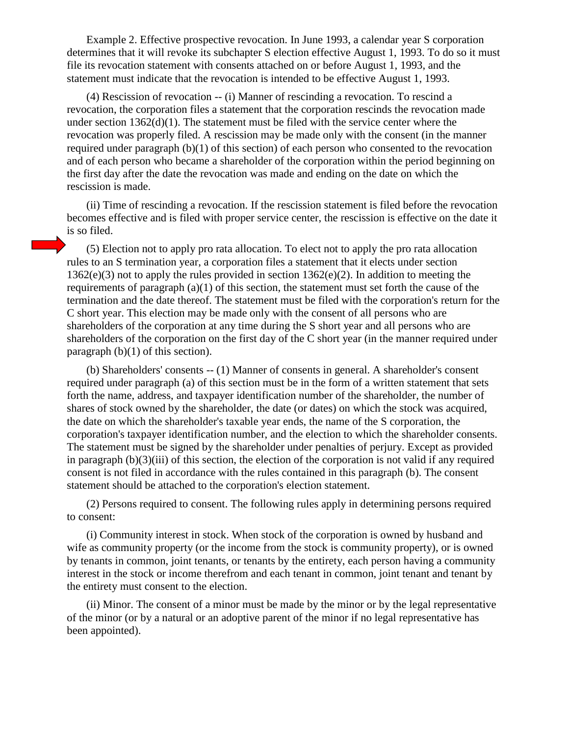Example 2. Effective prospective revocation. In June 1993, a calendar year S corporation determines that it will revoke its subchapter S election effective August 1, 1993. To do so it must file its revocation statement with consents attached on or before August 1, 1993, and the statement must indicate that the revocation is intended to be effective August 1, 1993.

(4) Rescission of revocation -- (i) Manner of rescinding a revocation. To rescind a revocation, the corporation files a statement that the corporation rescinds the revocation made under section 1362(d)(1). The statement must be filed with the service center where the revocation was properly filed. A rescission may be made only with the consent (in the manner required under paragraph (b)(1) of this section) of each person who consented to the revocation and of each person who became a shareholder of the corporation within the period beginning on the first day after the date the revocation was made and ending on the date on which the rescission is made.

(ii) Time of rescinding a revocation. If the rescission statement is filed before the revocation becomes effective and is filed with proper service center, the rescission is effective on the date it is so filed.

(5) Election not to apply pro rata allocation. To elect not to apply the pro rata allocation rules to an S termination year, a corporation files a statement that it elects under section 1362(e)(3) not to apply the rules provided in section 1362(e)(2). In addition to meeting the requirements of paragraph (a)(1) of this section, the statement must set forth the cause of the termination and the date thereof. The statement must be filed with the corporation's return for the C short year. This election may be made only with the consent of all persons who are shareholders of the corporation at any time during the S short year and all persons who are shareholders of the corporation on the first day of the C short year (in the manner required under paragraph  $(b)(1)$  of this section).

(b) Shareholders' consents -- (1) Manner of consents in general. A shareholder's consent required under paragraph (a) of this section must be in the form of a written statement that sets forth the name, address, and taxpayer identification number of the shareholder, the number of shares of stock owned by the shareholder, the date (or dates) on which the stock was acquired, the date on which the shareholder's taxable year ends, the name of the S corporation, the corporation's taxpayer identification number, and the election to which the shareholder consents. The statement must be signed by the shareholder under penalties of perjury. Except as provided in paragraph (b)(3)(iii) of this section, the election of the corporation is not valid if any required consent is not filed in accordance with the rules contained in this paragraph (b). The consent statement should be attached to the corporation's election statement.

(2) Persons required to consent. The following rules apply in determining persons required to consent:

(i) Community interest in stock. When stock of the corporation is owned by husband and wife as community property (or the income from the stock is community property), or is owned by tenants in common, joint tenants, or tenants by the entirety, each person having a community interest in the stock or income therefrom and each tenant in common, joint tenant and tenant by the entirety must consent to the election.

(ii) Minor. The consent of a minor must be made by the minor or by the legal representative of the minor (or by a natural or an adoptive parent of the minor if no legal representative has been appointed).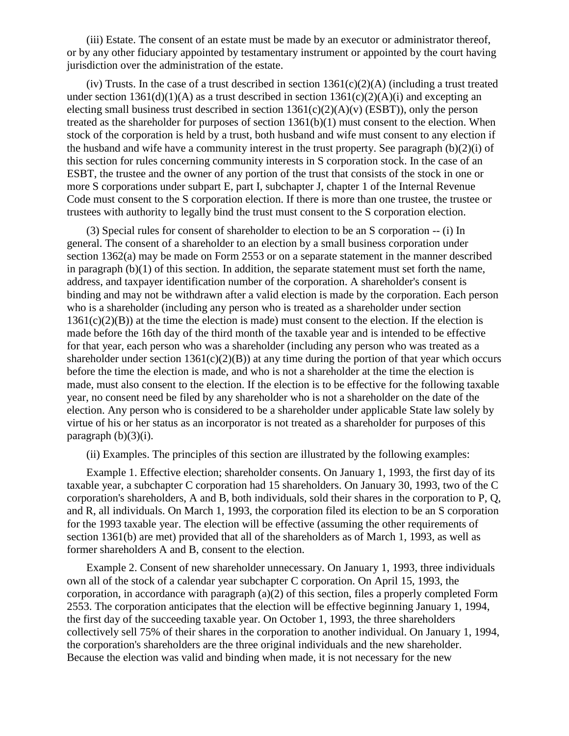(iii) Estate. The consent of an estate must be made by an executor or administrator thereof, or by any other fiduciary appointed by testamentary instrument or appointed by the court having jurisdiction over the administration of the estate.

(iv) Trusts. In the case of a trust described in section  $1361(c)(2)(A)$  (including a trust treated under section  $1361(d)(1)(A)$  as a trust described in section  $1361(c)(2)(A)(i)$  and excepting an electing small business trust described in section  $1361(c)(2)(A)(v)$  (ESBT)), only the person treated as the shareholder for purposes of section 1361(b)(1) must consent to the election. When stock of the corporation is held by a trust, both husband and wife must consent to any election if the husband and wife have a community interest in the trust property. See paragraph (b)(2)(i) of this section for rules concerning community interests in S corporation stock. In the case of an ESBT, the trustee and the owner of any portion of the trust that consists of the stock in one or more S corporations under subpart E, part I, subchapter J, chapter 1 of the Internal Revenue Code must consent to the S corporation election. If there is more than one trustee, the trustee or trustees with authority to legally bind the trust must consent to the S corporation election.

(3) Special rules for consent of shareholder to election to be an S corporation -- (i) In general. The consent of a shareholder to an election by a small business corporation under section 1362(a) may be made on Form 2553 or on a separate statement in the manner described in paragraph  $(b)(1)$  of this section. In addition, the separate statement must set forth the name, address, and taxpayer identification number of the corporation. A shareholder's consent is binding and may not be withdrawn after a valid election is made by the corporation. Each person who is a shareholder (including any person who is treated as a shareholder under section  $1361(c)(2)(B)$ ) at the time the election is made) must consent to the election. If the election is made before the 16th day of the third month of the taxable year and is intended to be effective for that year, each person who was a shareholder (including any person who was treated as a shareholder under section  $1361(c)(2)(B)$  at any time during the portion of that year which occurs before the time the election is made, and who is not a shareholder at the time the election is made, must also consent to the election. If the election is to be effective for the following taxable year, no consent need be filed by any shareholder who is not a shareholder on the date of the election. Any person who is considered to be a shareholder under applicable State law solely by virtue of his or her status as an incorporator is not treated as a shareholder for purposes of this paragraph  $(b)(3)(i)$ .

(ii) Examples. The principles of this section are illustrated by the following examples:

Example 1. Effective election; shareholder consents. On January 1, 1993, the first day of its taxable year, a subchapter C corporation had 15 shareholders. On January 30, 1993, two of the C corporation's shareholders, A and B, both individuals, sold their shares in the corporation to P, Q, and R, all individuals. On March 1, 1993, the corporation filed its election to be an S corporation for the 1993 taxable year. The election will be effective (assuming the other requirements of section 1361(b) are met) provided that all of the shareholders as of March 1, 1993, as well as former shareholders A and B, consent to the election.

Example 2. Consent of new shareholder unnecessary. On January 1, 1993, three individuals own all of the stock of a calendar year subchapter C corporation. On April 15, 1993, the corporation, in accordance with paragraph (a)(2) of this section, files a properly completed Form 2553. The corporation anticipates that the election will be effective beginning January 1, 1994, the first day of the succeeding taxable year. On October 1, 1993, the three shareholders collectively sell 75% of their shares in the corporation to another individual. On January 1, 1994, the corporation's shareholders are the three original individuals and the new shareholder. Because the election was valid and binding when made, it is not necessary for the new